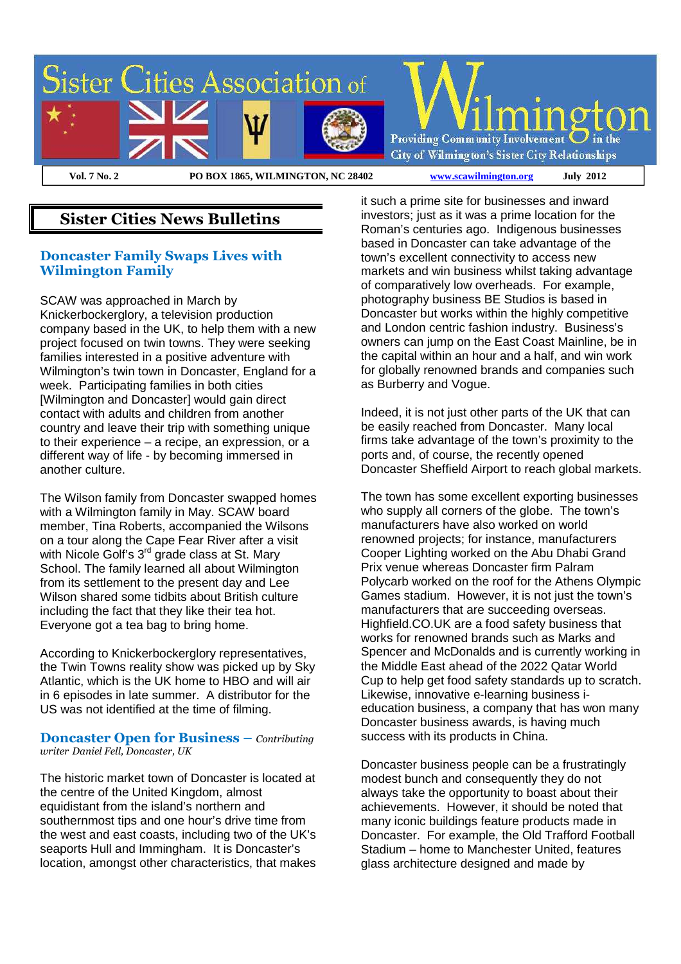

## **Sister Cities News Bulletins**

### **Doncaster Family Swaps Lives with Wilmington Family**

SCAW was approached in March by Knickerbockerglory, a television production company based in the UK, to help them with a new project focused on twin towns. They were seeking families interested in a positive adventure with Wilmington's twin town in Doncaster, England for a week. Participating families in both cities [Wilmington and Doncaster] would gain direct contact with adults and children from another country and leave their trip with something unique to their experience – a recipe, an expression, or a different way of life - by becoming immersed in another culture.

The Wilson family from Doncaster swapped homes with a Wilmington family in May. SCAW board member, Tina Roberts, accompanied the Wilsons on a tour along the Cape Fear River after a visit with Nicole Golf's 3<sup>rd</sup> grade class at St. Mary School. The family learned all about Wilmington from its settlement to the present day and Lee Wilson shared some tidbits about British culture including the fact that they like their tea hot. Everyone got a tea bag to bring home.

According to Knickerbockerglory representatives, the Twin Towns reality show was picked up by Sky Atlantic, which is the UK home to HBO and will air in 6 episodes in late summer. A distributor for the US was not identified at the time of filming.

#### **Doncaster Open for Business –** *Contributing writer Daniel Fell, Doncaster, UK*

The historic market town of Doncaster is located at the centre of the United Kingdom, almost equidistant from the island's northern and southernmost tips and one hour's drive time from the west and east coasts, including two of the UK's seaports Hull and Immingham. It is Doncaster's location, amongst other characteristics, that makes it such a prime site for businesses and inward investors; just as it was a prime location for the Roman's centuries ago. Indigenous businesses based in Doncaster can take advantage of the town's excellent connectivity to access new markets and win business whilst taking advantage of comparatively low overheads. For example, photography business BE Studios is based in Doncaster but works within the highly competitive and London centric fashion industry. Business's owners can jump on the East Coast Mainline, be in the capital within an hour and a half, and win work for globally renowned brands and companies such as Burberry and Vogue.

Indeed, it is not just other parts of the UK that can be easily reached from Doncaster. Many local firms take advantage of the town's proximity to the ports and, of course, the recently opened Doncaster Sheffield Airport to reach global markets.

The town has some excellent exporting businesses who supply all corners of the globe. The town's manufacturers have also worked on world renowned projects; for instance, manufacturers Cooper Lighting worked on the Abu Dhabi Grand Prix venue whereas Doncaster firm Palram Polycarb worked on the roof for the Athens Olympic Games stadium. However, it is not just the town's manufacturers that are succeeding overseas. Highfield.CO.UK are a food safety business that works for renowned brands such as Marks and Spencer and McDonalds and is currently working in the Middle East ahead of the 2022 Qatar World Cup to help get food safety standards up to scratch. Likewise, innovative e-learning business ieducation business, a company that has won many Doncaster business awards, is having much success with its products in China.

Doncaster business people can be a frustratingly modest bunch and consequently they do not always take the opportunity to boast about their achievements. However, it should be noted that many iconic buildings feature products made in Doncaster. For example, the Old Trafford Football Stadium – home to Manchester United, features glass architecture designed and made by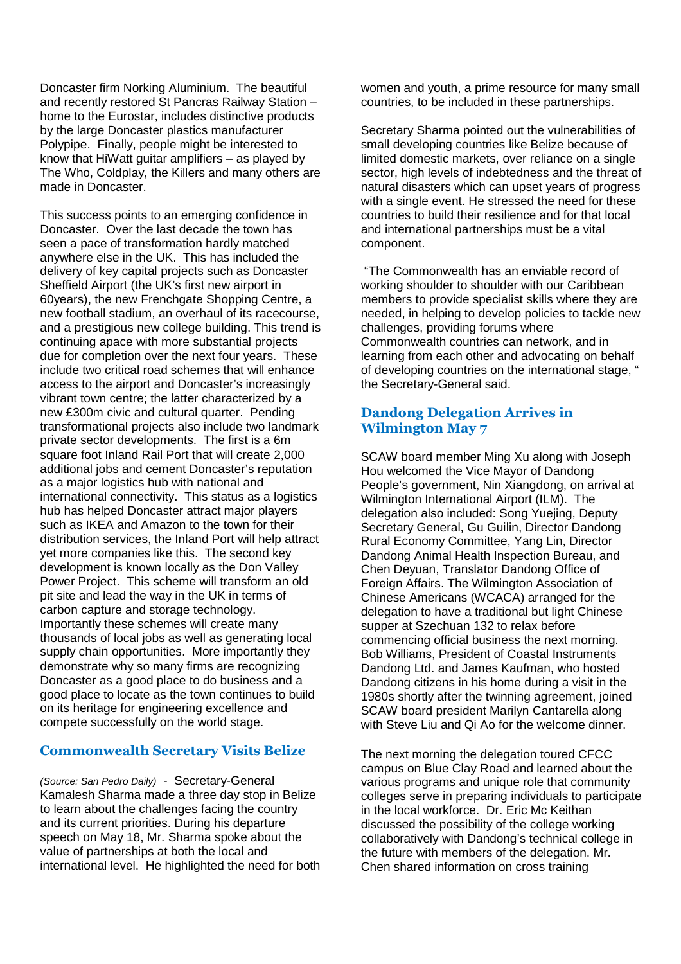Doncaster firm Norking Aluminium. The beautiful and recently restored St Pancras Railway Station – home to the Eurostar, includes distinctive products by the large Doncaster plastics manufacturer Polypipe. Finally, people might be interested to know that HiWatt guitar amplifiers – as played by The Who, Coldplay, the Killers and many others are made in Doncaster.

This success points to an emerging confidence in Doncaster. Over the last decade the town has seen a pace of transformation hardly matched anywhere else in the UK. This has included the delivery of key capital projects such as Doncaster Sheffield Airport (the UK's first new airport in 60years), the new Frenchgate Shopping Centre, a new football stadium, an overhaul of its racecourse, and a prestigious new college building. This trend is continuing apace with more substantial projects due for completion over the next four years. These include two critical road schemes that will enhance access to the airport and Doncaster's increasingly vibrant town centre; the latter characterized by a new £300m civic and cultural quarter. Pending transformational projects also include two landmark private sector developments. The first is a 6m square foot Inland Rail Port that will create 2,000 additional jobs and cement Doncaster's reputation as a major logistics hub with national and international connectivity. This status as a logistics hub has helped Doncaster attract major players such as IKEA and Amazon to the town for their distribution services, the Inland Port will help attract yet more companies like this. The second key development is known locally as the Don Valley Power Project. This scheme will transform an old pit site and lead the way in the UK in terms of carbon capture and storage technology. Importantly these schemes will create many thousands of local jobs as well as generating local supply chain opportunities. More importantly they demonstrate why so many firms are recognizing Doncaster as a good place to do business and a good place to locate as the town continues to build on its heritage for engineering excellence and compete successfully on the world stage.

### **Commonwealth Secretary Visits Belize**

(Source: San Pedro Daily) - Secretary-General Kamalesh Sharma made a three day stop in Belize to learn about the challenges facing the country and its current priorities. During his departure speech on May 18, Mr. Sharma spoke about the value of partnerships at both the local and international level. He highlighted the need for both women and youth, a prime resource for many small countries, to be included in these partnerships.

Secretary Sharma pointed out the vulnerabilities of small developing countries like Belize because of limited domestic markets, over reliance on a single sector, high levels of indebtedness and the threat of natural disasters which can upset years of progress with a single event. He stressed the need for these countries to build their resilience and for that local and international partnerships must be a vital component.

 "The Commonwealth has an enviable record of working shoulder to shoulder with our Caribbean members to provide specialist skills where they are needed, in helping to develop policies to tackle new challenges, providing forums where Commonwealth countries can network, and in learning from each other and advocating on behalf of developing countries on the international stage, " the Secretary-General said.

## **Dandong Delegation Arrives in Wilmington May 7**

SCAW board member Ming Xu along with Joseph Hou welcomed the Vice Mayor of Dandong People's government, Nin Xiangdong, on arrival at Wilmington International Airport (ILM). The delegation also included: Song Yuejing, Deputy Secretary General, Gu Guilin, Director Dandong Rural Economy Committee, Yang Lin, Director Dandong Animal Health Inspection Bureau, and Chen Deyuan, Translator Dandong Office of Foreign Affairs. The Wilmington Association of Chinese Americans (WCACA) arranged for the delegation to have a traditional but light Chinese supper at Szechuan 132 to relax before commencing official business the next morning. Bob Williams, President of Coastal Instruments Dandong Ltd. and James Kaufman, who hosted Dandong citizens in his home during a visit in the 1980s shortly after the twinning agreement, joined SCAW board president Marilyn Cantarella along with Steve Liu and Qi Ao for the welcome dinner.

The next morning the delegation toured CFCC campus on Blue Clay Road and learned about the various programs and unique role that community colleges serve in preparing individuals to participate in the local workforce. Dr. Eric Mc Keithan discussed the possibility of the college working collaboratively with Dandong's technical college in the future with members of the delegation. Mr. Chen shared information on cross training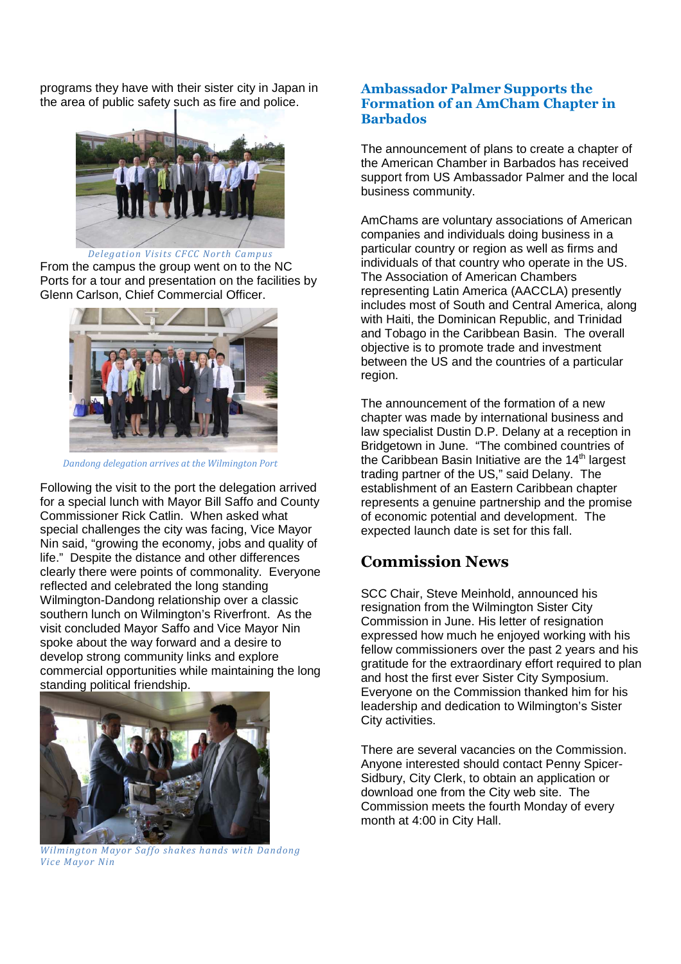programs they have with their sister city in Japan in the area of public safety such as fire and police.



*Delegation Visits CFCC North Campus*  From the campus the group went on to the NC Ports for a tour and presentation on the facilities by Glenn Carlson, Chief Commercial Officer.



*Dandong delegation arrives at the Wilmington Port*

Following the visit to the port the delegation arrived for a special lunch with Mayor Bill Saffo and County Commissioner Rick Catlin. When asked what special challenges the city was facing, Vice Mayor Nin said, "growing the economy, jobs and quality of life." Despite the distance and other differences clearly there were points of commonality. Everyone reflected and celebrated the long standing Wilmington-Dandong relationship over a classic southern lunch on Wilmington's Riverfront. As the visit concluded Mayor Saffo and Vice Mayor Nin spoke about the way forward and a desire to develop strong community links and explore commercial opportunities while maintaining the long standing political friendship.



*Wilmington Mayor Saffo shakes hands with Dandong Vice Mayor Nin* 

### **Ambassador Palmer Supports the Formation of an AmCham Chapter in Barbados**

The announcement of plans to create a chapter of the American Chamber in Barbados has received support from US Ambassador Palmer and the local business community.

AmChams are voluntary associations of American companies and individuals doing business in a particular country or region as well as firms and individuals of that country who operate in the US. The Association of American Chambers representing Latin America (AACCLA) presently includes most of South and Central America, along with Haiti, the Dominican Republic, and Trinidad and Tobago in the Caribbean Basin. The overall objective is to promote trade and investment between the US and the countries of a particular region.

The announcement of the formation of a new chapter was made by international business and law specialist Dustin D.P. Delany at a reception in Bridgetown in June. "The combined countries of the Caribbean Basin Initiative are the  $14<sup>th</sup>$  largest trading partner of the US," said Delany. The establishment of an Eastern Caribbean chapter represents a genuine partnership and the promise of economic potential and development. The expected launch date is set for this fall.

## **Commission News**

SCC Chair, Steve Meinhold, announced his resignation from the Wilmington Sister City Commission in June. His letter of resignation expressed how much he enjoyed working with his fellow commissioners over the past 2 years and his gratitude for the extraordinary effort required to plan and host the first ever Sister City Symposium. Everyone on the Commission thanked him for his leadership and dedication to Wilmington's Sister City activities.

There are several vacancies on the Commission. Anyone interested should contact Penny Spicer-Sidbury, City Clerk, to obtain an application or download one from the City web site. The Commission meets the fourth Monday of every month at 4:00 in City Hall.